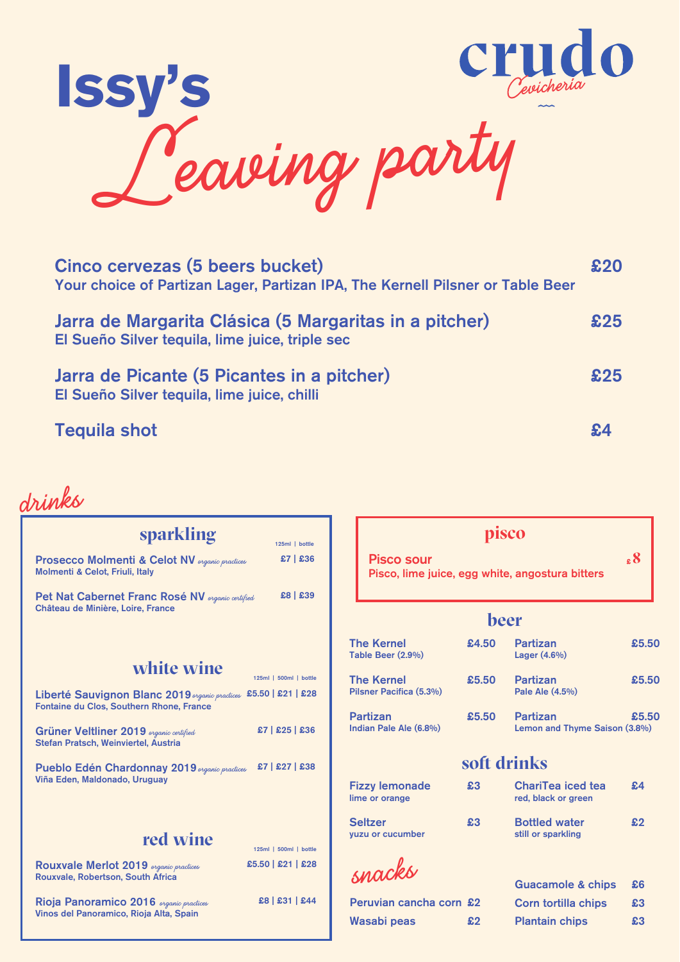

| Cinco cervezas (5 beers bucket)<br>Your choice of Partizan Lager, Partizan IPA, The Kernell Pilsner or Table Beer |     |
|-------------------------------------------------------------------------------------------------------------------|-----|
| Jarra de Margarita Clásica (5 Margaritas in a pitcher)<br>El Sueño Silver tequila, lime juice, triple sec         | £25 |
| Jarra de Picante (5 Picantes in a pitcher)<br>El Sueño Silver tequila, lime juice, chilli                         | £25 |
| <b>Tequila shot</b>                                                                                               |     |

£5.50

£5.50

£5.50

| sparkling                                                                                                                   | 125ml   bottle                                |                                              | pisco       |                                                  |            |
|-----------------------------------------------------------------------------------------------------------------------------|-----------------------------------------------|----------------------------------------------|-------------|--------------------------------------------------|------------|
| <b>Prosecco Molmenti &amp; Celot NV</b> <i>organic practices</i><br>Molmenti & Celot, Friuli, Italy                         | $£7$ $E36$                                    | <b>Pisco sour</b>                            |             | Pisco, lime juice, egg white, angostura bitters  | $.8 \cdot$ |
| Pet Nat Cabernet Franc Rosé NV <i>erganic certified</i><br>Château de Minière, Loire, France                                | £8   £39                                      | beer                                         |             |                                                  |            |
|                                                                                                                             |                                               | <b>The Kernel</b><br>Table Beer (2.9%)       | £4.50       | <b>Partizan</b><br>Lager (4.6%)                  | £5.5       |
| white wine<br>Liberté Sauvignon Blanc 2019 <i>organic practices</i>                                                         | 125ml   500ml   bottle<br>$£5.50$ $E21$ $E28$ | <b>The Kernel</b><br>Pilsner Pacifica (5.3%) | £5.50       | <b>Partizan</b><br>Pale Ale (4.5%)               | £5.5       |
| Fontaine du Clos, Southern Rhone, France<br>Grüner Veltliner 2019 organic certified<br>Stefan Pratsch, Weinviertel, Austria | $£7$ $E25$ $E36$                              | <b>Partizan</b><br>Indian Pale Ale (6.8%)    | £5.50       | <b>Partizan</b><br>Lemon and Thyme Saison (3.8%) | £5.5       |
| Pueblo Edén Chardonnay 2019 <i>organic practices</i>                                                                        | $£7$ $£27$ $£38$                              |                                              | soft drinks |                                                  |            |
| Viña Eden, Maldonado, Uruguay                                                                                               |                                               | <b>Fizzy lemonade</b><br>lime or orange      | \$3         | ChariTea iced tea<br>red, black or green         | \$4\$      |
| red wine                                                                                                                    | 125ml   500ml   bottle                        | <b>Seltzer</b><br>vuzu or cucumber           | £3          | <b>Bottled water</b><br>still or sparkling       | \$2        |
| Rouxvale Merlot 2019 <i>organic practices</i><br>Rouxvale, Robertson, South Africa                                          | £5.50   £21   £28                             | snacks                                       |             | <b>Guacamole &amp; chips</b>                     | \$6        |
| Rioja Panoramico 2016 <i>erganic practices</i><br>Vinos del Panoramico, Rioja Alta, Spain                                   | £8   £31   £44                                | Peruvian cancha corn £2<br>Wasabi peas       | \$2\$       | Corn tortilla chips<br><b>Plantain chips</b>     | £3<br>£3   |